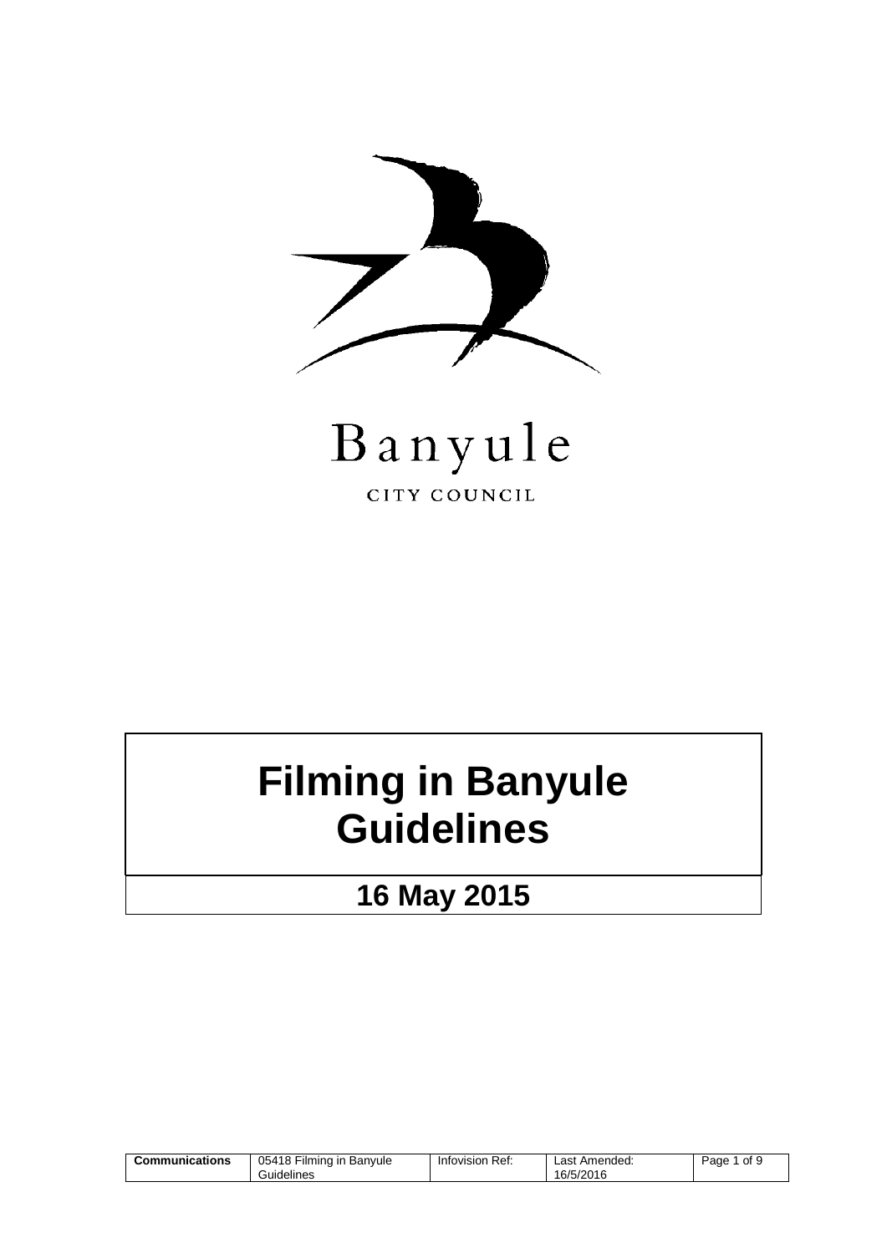



## **Filming in Banyule Guidelines**

**16 May 2015**

| $- \cdot \cdot$<br>05418<br>Communications<br>. Filmina in .<br>Banvule<br>Guidelines | Ref:<br>Infovision | Amended:<br>Last<br>16/5/2016 | of 9<br>Page |
|---------------------------------------------------------------------------------------|--------------------|-------------------------------|--------------|
|---------------------------------------------------------------------------------------|--------------------|-------------------------------|--------------|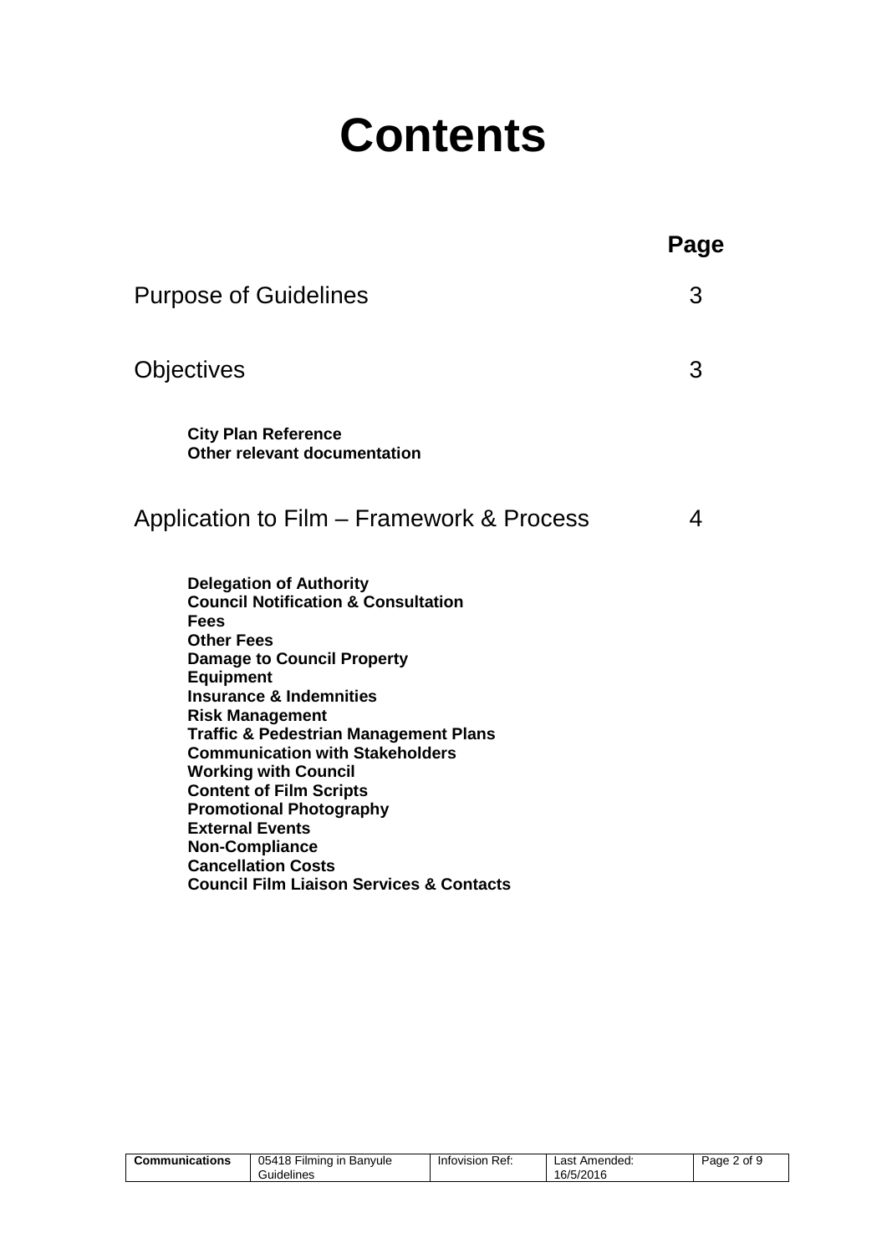# **Contents**

|                                                                                                                                                                                                                                                                                                                                                                                                                                                                                                                                                                                       | Page |
|---------------------------------------------------------------------------------------------------------------------------------------------------------------------------------------------------------------------------------------------------------------------------------------------------------------------------------------------------------------------------------------------------------------------------------------------------------------------------------------------------------------------------------------------------------------------------------------|------|
| <b>Purpose of Guidelines</b>                                                                                                                                                                                                                                                                                                                                                                                                                                                                                                                                                          | 3    |
| Objectives                                                                                                                                                                                                                                                                                                                                                                                                                                                                                                                                                                            | 3    |
| <b>City Plan Reference</b><br>Other relevant documentation                                                                                                                                                                                                                                                                                                                                                                                                                                                                                                                            |      |
| Application to Film – Framework & Process                                                                                                                                                                                                                                                                                                                                                                                                                                                                                                                                             | 4    |
| <b>Delegation of Authority</b><br><b>Council Notification &amp; Consultation</b><br><b>Fees</b><br><b>Other Fees</b><br><b>Damage to Council Property</b><br><b>Equipment</b><br><b>Insurance &amp; Indemnities</b><br><b>Risk Management</b><br><b>Traffic &amp; Pedestrian Management Plans</b><br><b>Communication with Stakeholders</b><br><b>Working with Council</b><br><b>Content of Film Scripts</b><br><b>Promotional Photography</b><br><b>External Events</b><br><b>Non-Compliance</b><br><b>Cancellation Costs</b><br><b>Council Film Liaison Services &amp; Contacts</b> |      |

| 05418<br>Communications<br>`Filmina in .<br>Guidelines | Ref:<br>Banvule<br>Infovision | Last Amended:<br>16/5/2016 | 2 of 9<br>Page |
|--------------------------------------------------------|-------------------------------|----------------------------|----------------|
|--------------------------------------------------------|-------------------------------|----------------------------|----------------|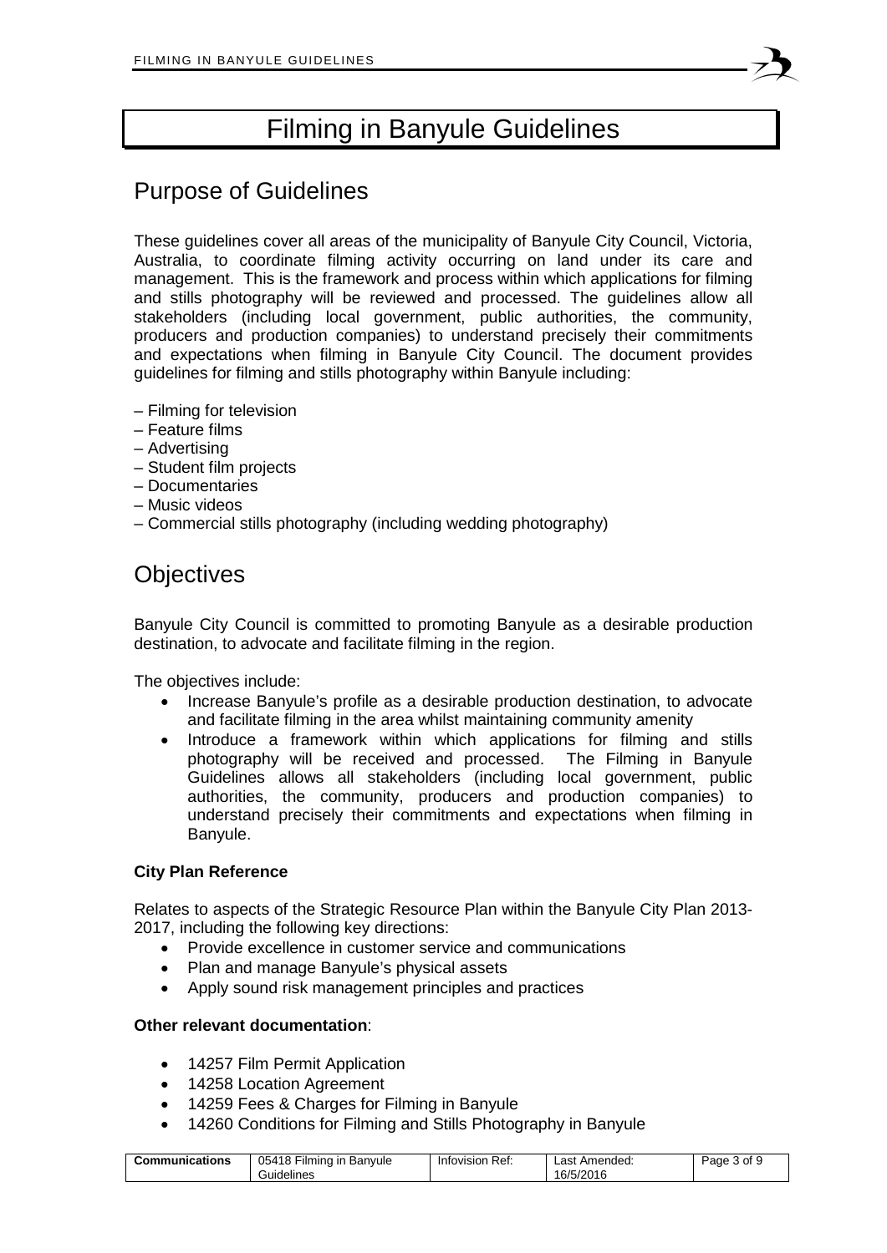## Filming in Banyule Guidelines

## Purpose of Guidelines

These guidelines cover all areas of the municipality of Banyule City Council, Victoria, Australia, to coordinate filming activity occurring on land under its care and management. This is the framework and process within which applications for filming and stills photography will be reviewed and processed. The guidelines allow all stakeholders (including local government, public authorities, the community, producers and production companies) to understand precisely their commitments and expectations when filming in Banyule City Council. The document provides guidelines for filming and stills photography within Banyule including:

- Filming for television
- Feature films
- Advertising
- Student film projects
- Documentaries
- Music videos
- Commercial stills photography (including wedding photography)

### **Objectives**

Banyule City Council is committed to promoting Banyule as a desirable production destination, to advocate and facilitate filming in the region.

The objectives include:

- Increase Banyule's profile as a desirable production destination, to advocate and facilitate filming in the area whilst maintaining community amenity
- Introduce a framework within which applications for filming and stills photography will be received and processed. The Filming in Banyule Guidelines allows all stakeholders (including local government, public authorities, the community, producers and production companies) to understand precisely their commitments and expectations when filming in Banyule.

#### **City Plan Reference**

Relates to aspects of the Strategic Resource Plan within the Banyule City Plan 2013- 2017, including the following key directions:

- Provide excellence in customer service and communications
- Plan and manage Banyule's physical assets
- Apply sound risk management principles and practices

#### **Other relevant documentation**:

- 14257 Film Permit Application
- 14258 Location Agreement
- 14259 Fees & Charges for Filming in Banyule
- 14260 Conditions for Filming and Stills Photography in Banyule

| $- \cdot \cdot$<br>05418<br>Communications<br>Banvule<br>∽ilmina in .<br>Guidelines | Ref:<br>Infovision | Amended:<br>∟ast ′<br>16/5/2016 | 3 of<br>ade |
|-------------------------------------------------------------------------------------|--------------------|---------------------------------|-------------|
|-------------------------------------------------------------------------------------|--------------------|---------------------------------|-------------|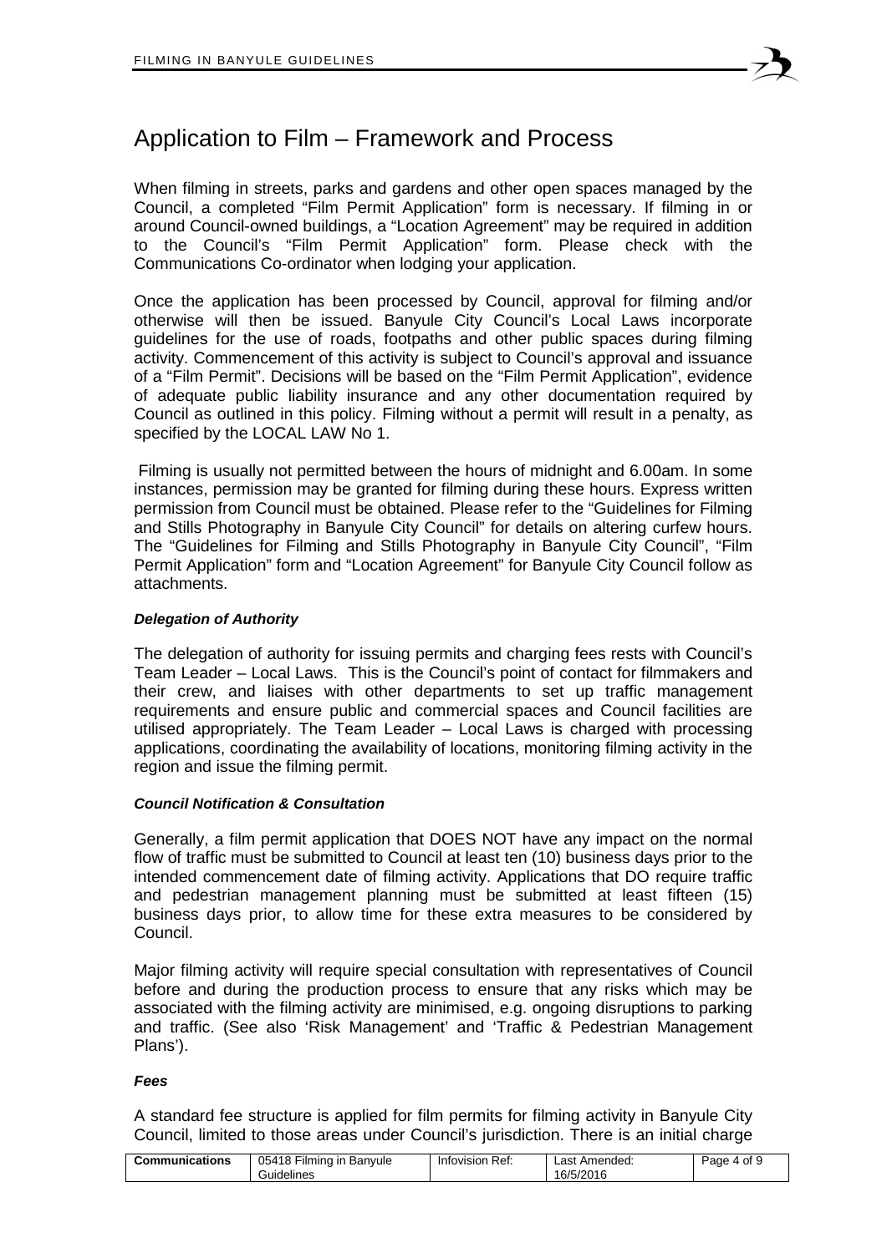When filming in streets, parks and gardens and other open spaces managed by the Council, a completed "Film Permit Application" form is necessary. If filming in or around Council-owned buildings, a "Location Agreement" may be required in addition to the Council's "Film Permit Application" form. Please check with the Communications Co-ordinator when lodging your application.

Once the application has been processed by Council, approval for filming and/or otherwise will then be issued. Banyule City Council's Local Laws incorporate guidelines for the use of roads, footpaths and other public spaces during filming activity. Commencement of this activity is subject to Council's approval and issuance of a "Film Permit". Decisions will be based on the "Film Permit Application", evidence of adequate public liability insurance and any other documentation required by Council as outlined in this policy. Filming without a permit will result in a penalty, as specified by the LOCAL LAW No 1.

Filming is usually not permitted between the hours of midnight and 6.00am. In some instances, permission may be granted for filming during these hours. Express written permission from Council must be obtained. Please refer to the "Guidelines for Filming and Stills Photography in Banyule City Council" for details on altering curfew hours. The "Guidelines for Filming and Stills Photography in Banyule City Council", "Film Permit Application" form and "Location Agreement" for Banyule City Council follow as attachments.

#### *Delegation of Authority*

The delegation of authority for issuing permits and charging fees rests with Council's Team Leader – Local Laws. This is the Council's point of contact for filmmakers and their crew, and liaises with other departments to set up traffic management requirements and ensure public and commercial spaces and Council facilities are utilised appropriately. The Team Leader – Local Laws is charged with processing applications, coordinating the availability of locations, monitoring filming activity in the region and issue the filming permit.

#### *Council Notification & Consultation*

Generally, a film permit application that DOES NOT have any impact on the normal flow of traffic must be submitted to Council at least ten (10) business days prior to the intended commencement date of filming activity. Applications that DO require traffic and pedestrian management planning must be submitted at least fifteen (15) business days prior, to allow time for these extra measures to be considered by Council.

Major filming activity will require special consultation with representatives of Council before and during the production process to ensure that any risks which may be associated with the filming activity are minimised, e.g. ongoing disruptions to parking and traffic. (See also 'Risk Management' and 'Traffic & Pedestrian Management Plans').

#### *Fees*

A standard fee structure is applied for film permits for filming activity in Banyule City Council, limited to those areas under Council's jurisdiction. There is an initial charge

| 05418 Filming in Banyule<br><b>Communications</b><br>Infovision Ref:<br>Page<br>Last Amended:<br>0t<br>$\Lambda$<br>16/5/2016<br>Guidelines |  |
|---------------------------------------------------------------------------------------------------------------------------------------------|--|
|---------------------------------------------------------------------------------------------------------------------------------------------|--|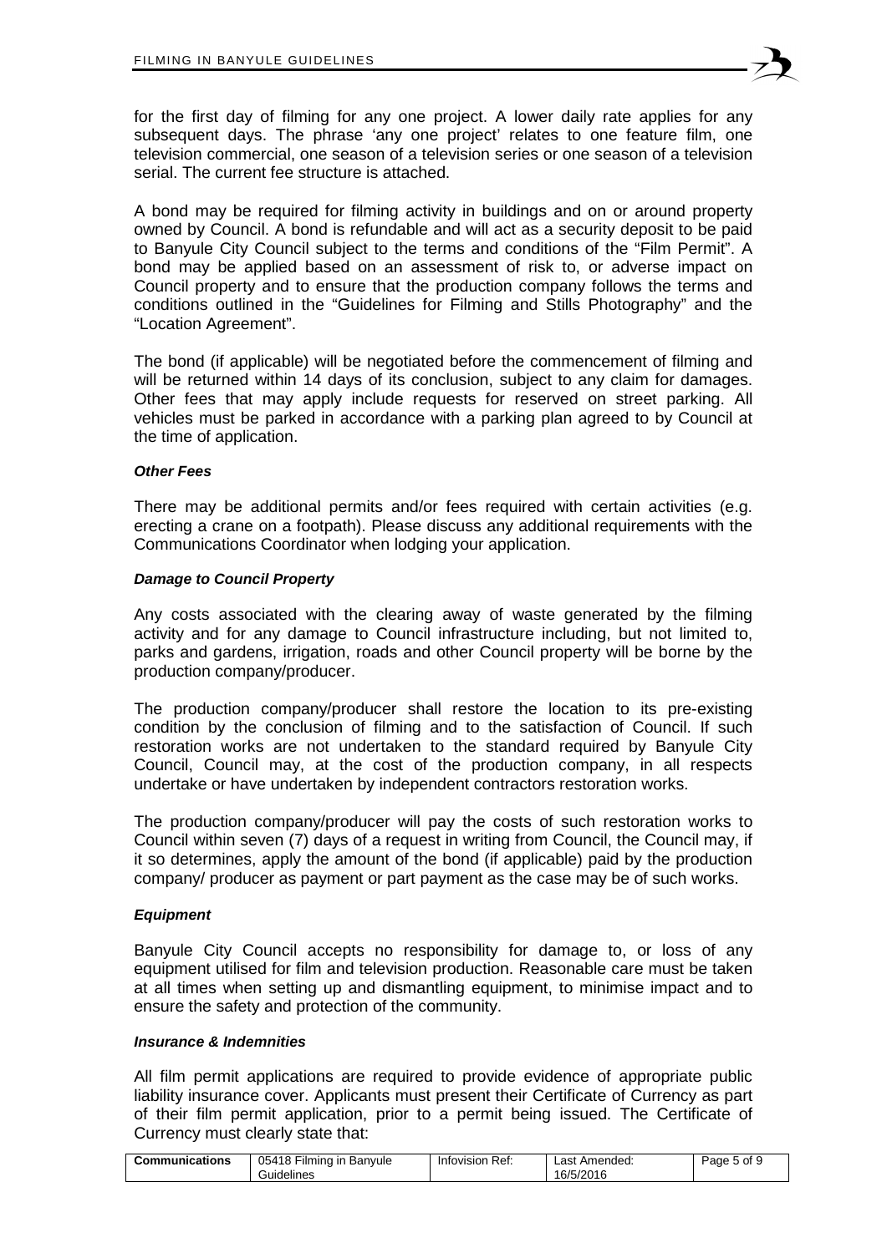

for the first day of filming for any one project. A lower daily rate applies for any subsequent days. The phrase 'any one project' relates to one feature film, one television commercial, one season of a television series or one season of a television serial. The current fee structure is attached.

A bond may be required for filming activity in buildings and on or around property owned by Council. A bond is refundable and will act as a security deposit to be paid to Banyule City Council subject to the terms and conditions of the "Film Permit". A bond may be applied based on an assessment of risk to, or adverse impact on Council property and to ensure that the production company follows the terms and conditions outlined in the "Guidelines for Filming and Stills Photography" and the "Location Agreement".

The bond (if applicable) will be negotiated before the commencement of filming and will be returned within 14 days of its conclusion, subject to any claim for damages. Other fees that may apply include requests for reserved on street parking. All vehicles must be parked in accordance with a parking plan agreed to by Council at the time of application.

#### *Other Fees*

There may be additional permits and/or fees required with certain activities (e.g. erecting a crane on a footpath). Please discuss any additional requirements with the Communications Coordinator when lodging your application.

#### *Damage to Council Property*

Any costs associated with the clearing away of waste generated by the filming activity and for any damage to Council infrastructure including, but not limited to, parks and gardens, irrigation, roads and other Council property will be borne by the production company/producer.

The production company/producer shall restore the location to its pre-existing condition by the conclusion of filming and to the satisfaction of Council. If such restoration works are not undertaken to the standard required by Banyule City Council, Council may, at the cost of the production company, in all respects undertake or have undertaken by independent contractors restoration works.

The production company/producer will pay the costs of such restoration works to Council within seven (7) days of a request in writing from Council, the Council may, if it so determines, apply the amount of the bond (if applicable) paid by the production company/ producer as payment or part payment as the case may be of such works.

#### *Equipment*

Banyule City Council accepts no responsibility for damage to, or loss of any equipment utilised for film and television production. Reasonable care must be taken at all times when setting up and dismantling equipment, to minimise impact and to ensure the safety and protection of the community.

#### *Insurance & Indemnities*

All film permit applications are required to provide evidence of appropriate public liability insurance cover. Applicants must present their Certificate of Currency as part of their film permit application, prior to a permit being issued. The Certificate of Currency must clearly state that:

| 05418 Fil<br><b>Communications</b><br>: Filming in Banvule<br>Guidelines | Infovision Ref: | Last Amended:<br>16/5/2016 | Page<br>丶 5 of 노 |
|--------------------------------------------------------------------------|-----------------|----------------------------|------------------|
|--------------------------------------------------------------------------|-----------------|----------------------------|------------------|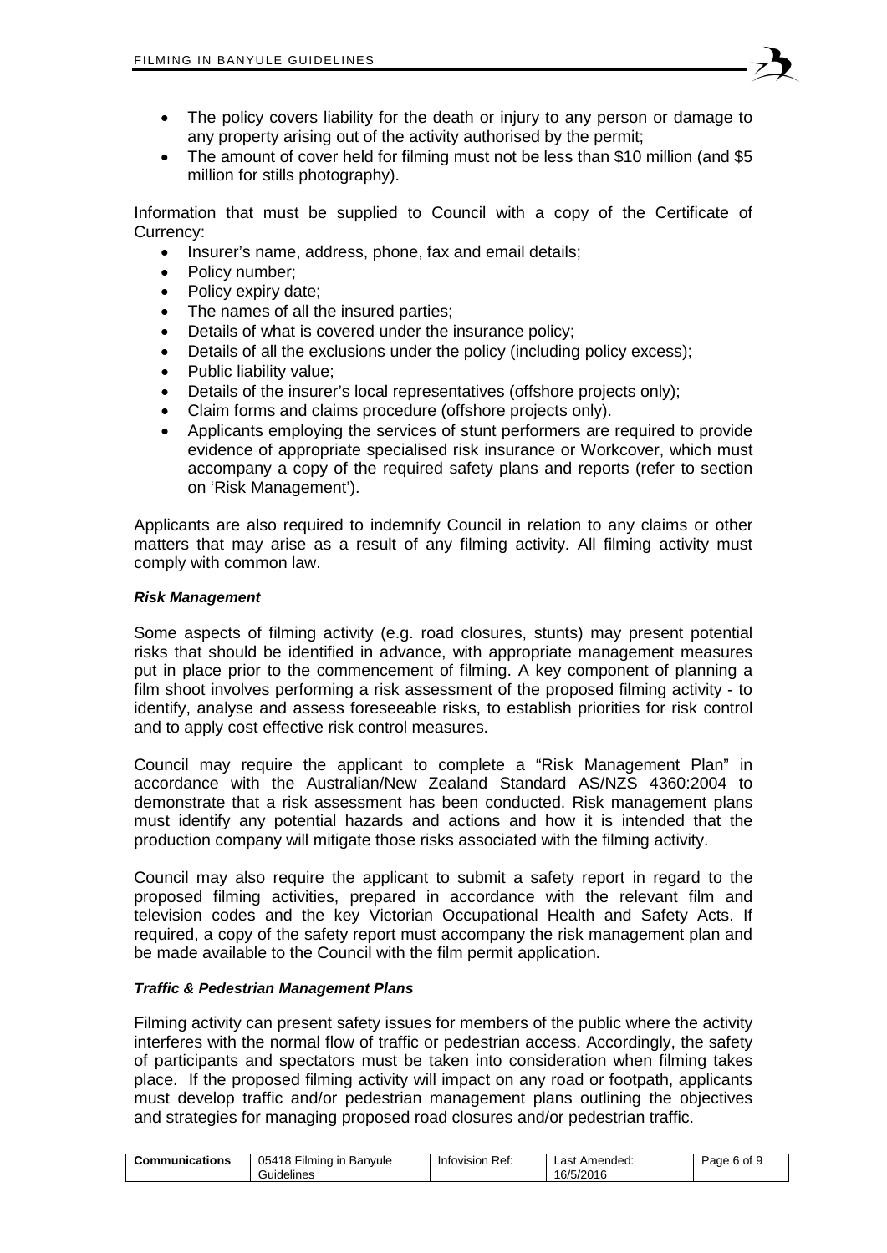- The policy covers liability for the death or injury to any person or damage to any property arising out of the activity authorised by the permit;
- The amount of cover held for filming must not be less than \$10 million (and \$5 million for stills photography).

Information that must be supplied to Council with a copy of the Certificate of Currency:

- Insurer's name, address, phone, fax and email details;
- Policy number:
- Policy expiry date;
- The names of all the insured parties;
- Details of what is covered under the insurance policy;
- Details of all the exclusions under the policy (including policy excess):
- Public liability value;
- Details of the insurer's local representatives (offshore projects only);
- Claim forms and claims procedure (offshore projects only).
- Applicants employing the services of stunt performers are required to provide evidence of appropriate specialised risk insurance or Workcover, which must accompany a copy of the required safety plans and reports (refer to section on 'Risk Management').

Applicants are also required to indemnify Council in relation to any claims or other matters that may arise as a result of any filming activity. All filming activity must comply with common law.

#### *Risk Management*

Some aspects of filming activity (e.g. road closures, stunts) may present potential risks that should be identified in advance, with appropriate management measures put in place prior to the commencement of filming. A key component of planning a film shoot involves performing a risk assessment of the proposed filming activity - to identify, analyse and assess foreseeable risks, to establish priorities for risk control and to apply cost effective risk control measures.

Council may require the applicant to complete a "Risk Management Plan" in accordance with the Australian/New Zealand Standard AS/NZS 4360:2004 to demonstrate that a risk assessment has been conducted. Risk management plans must identify any potential hazards and actions and how it is intended that the production company will mitigate those risks associated with the filming activity.

Council may also require the applicant to submit a safety report in regard to the proposed filming activities, prepared in accordance with the relevant film and television codes and the key Victorian Occupational Health and Safety Acts. If required, a copy of the safety report must accompany the risk management plan and be made available to the Council with the film permit application.

#### *Traffic & Pedestrian Management Plans*

Filming activity can present safety issues for members of the public where the activity interferes with the normal flow of traffic or pedestrian access. Accordingly, the safety of participants and spectators must be taken into consideration when filming takes place. If the proposed filming activity will impact on any road or footpath, applicants must develop traffic and/or pedestrian management plans outlining the objectives and strategies for managing proposed road closures and/or pedestrian traffic.

| 05418 Filming in Banyule<br>6 of 9<br><b>Communications</b><br>⊦Ref:<br>Last Amended:<br>Page<br>Infovision<br>16/5/2016<br>Guidelines |
|----------------------------------------------------------------------------------------------------------------------------------------|
|----------------------------------------------------------------------------------------------------------------------------------------|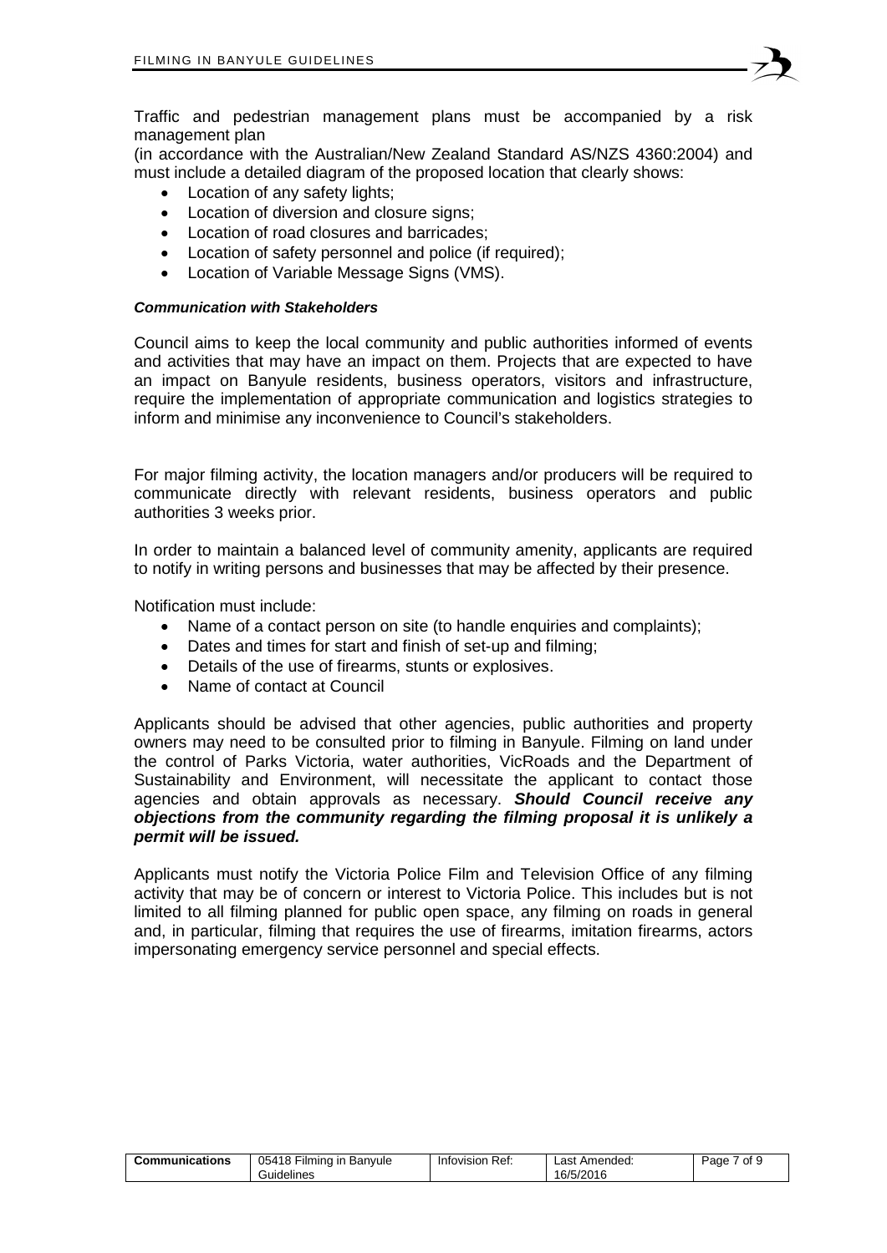

(in accordance with the Australian/New Zealand Standard AS/NZS 4360:2004) and must include a detailed diagram of the proposed location that clearly shows:

- Location of any safety lights;
- Location of diversion and closure signs:
- Location of road closures and barricades;
- Location of safety personnel and police (if required);
- Location of Variable Message Signs (VMS).

#### *Communication with Stakeholders*

Council aims to keep the local community and public authorities informed of events and activities that may have an impact on them. Projects that are expected to have an impact on Banyule residents, business operators, visitors and infrastructure, require the implementation of appropriate communication and logistics strategies to inform and minimise any inconvenience to Council's stakeholders.

For major filming activity, the location managers and/or producers will be required to communicate directly with relevant residents, business operators and public authorities 3 weeks prior.

In order to maintain a balanced level of community amenity, applicants are required to notify in writing persons and businesses that may be affected by their presence.

Notification must include:

- Name of a contact person on site (to handle enquiries and complaints);
- Dates and times for start and finish of set-up and filming;
- Details of the use of firearms, stunts or explosives.
- Name of contact at Council

Applicants should be advised that other agencies, public authorities and property owners may need to be consulted prior to filming in Banyule. Filming on land under the control of Parks Victoria, water authorities, VicRoads and the Department of Sustainability and Environment, will necessitate the applicant to contact those agencies and obtain approvals as necessary. *Should Council receive any objections from the community regarding the filming proposal it is unlikely a permit will be issued.*

Applicants must notify the Victoria Police Film and Television Office of any filming activity that may be of concern or interest to Victoria Police. This includes but is not limited to all filming planned for public open space, any filming on roads in general and, in particular, filming that requires the use of firearms, imitation firearms, actors impersonating emergency service personnel and special effects.

| 05418<br>Communications<br>Filmina in Banvule<br>Guidelines | Infovision Ref: | Last Amended:<br>16/5/2016 | οf<br>Page |
|-------------------------------------------------------------|-----------------|----------------------------|------------|
|-------------------------------------------------------------|-----------------|----------------------------|------------|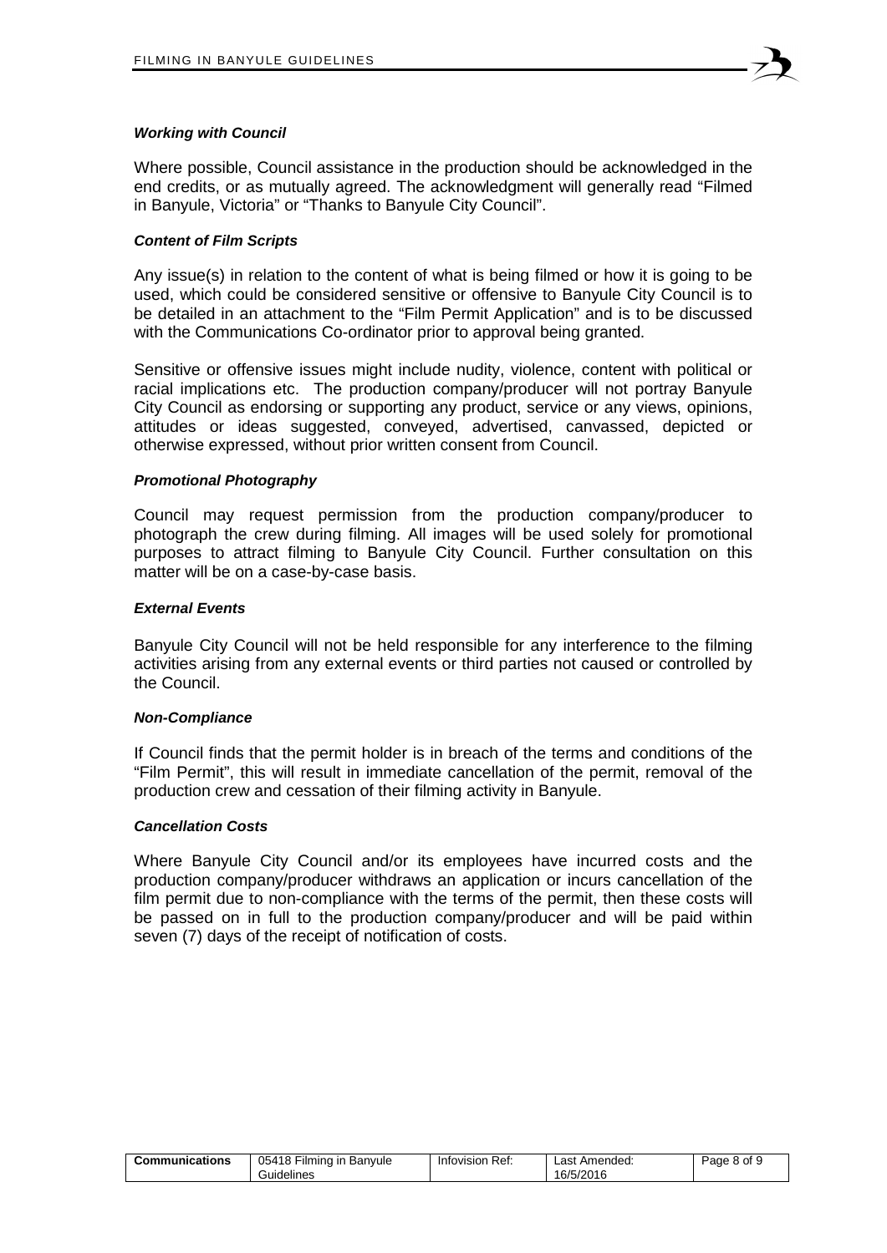

#### *Working with Council*

Where possible, Council assistance in the production should be acknowledged in the end credits, or as mutually agreed. The acknowledgment will generally read "Filmed in Banyule, Victoria" or "Thanks to Banyule City Council".

#### *Content of Film Scripts*

Any issue(s) in relation to the content of what is being filmed or how it is going to be used, which could be considered sensitive or offensive to Banyule City Council is to be detailed in an attachment to the "Film Permit Application" and is to be discussed with the Communications Co-ordinator prior to approval being granted.

Sensitive or offensive issues might include nudity, violence, content with political or racial implications etc. The production company/producer will not portray Banyule City Council as endorsing or supporting any product, service or any views, opinions, attitudes or ideas suggested, conveyed, advertised, canvassed, depicted or otherwise expressed, without prior written consent from Council.

#### *Promotional Photography*

Council may request permission from the production company/producer to photograph the crew during filming. All images will be used solely for promotional purposes to attract filming to Banyule City Council. Further consultation on this matter will be on a case-by-case basis.

#### *External Events*

Banyule City Council will not be held responsible for any interference to the filming activities arising from any external events or third parties not caused or controlled by the Council.

#### *Non-Compliance*

If Council finds that the permit holder is in breach of the terms and conditions of the "Film Permit", this will result in immediate cancellation of the permit, removal of the production crew and cessation of their filming activity in Banyule.

#### *Cancellation Costs*

Where Banyule City Council and/or its employees have incurred costs and the production company/producer withdraws an application or incurs cancellation of the film permit due to non-compliance with the terms of the permit, then these costs will be passed on in full to the production company/producer and will be paid within seven (7) days of the receipt of notification of costs.